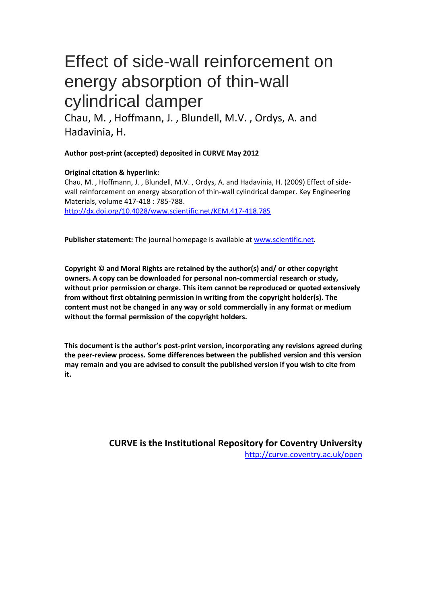# Effect of side-wall reinforcement on energy absorption of thin-wall cylindrical damper

Chau, M. , Hoffmann, J. , Blundell, M.V. , Ordys, A. and Hadavinia, H.

**Author post-print (accepted) deposited in CURVE May 2012**

# **Original citation & hyperlink:**

Chau, M. , Hoffmann, J. , Blundell, M.V. , Ordys, A. and Hadavinia, H. (2009) Effect of sidewall reinforcement on energy absorption of thin-wall cylindrical damper. Key Engineering Materials, volume 417-418 : 785-788. http://dx.doi.org/10.4028/www.scientific.net/KEM.417-418.785

**Publisher statement:** The journal homepage is available at www.scientific.net.

**Copyright © and Moral Rights are retained by the author(s) and/ or other copyright [owners. A copy can be downloaded for personal non-commercial rese](http://dx.doi.org/10.4028/www.scientific.net/KEM.417-418.785)arch or study, without prior permission or charge. This item cannot be reproduced or quoted extensively from without first obtaining permission in writing from the copyright holder(s). The content must not be changed in any way or sold commercially in any format or medium without the formal permission of the copyright holders.** 

**This document is the author's post-print version, incorporating any revisions agreed during the peer-review process. Some differences between the published version and this version may remain and you are advised to consult the published version if you wish to cite from it.** 

> **CURVE is the Institutional Repository for Coventry University** http://curve.coventry.ac.uk/open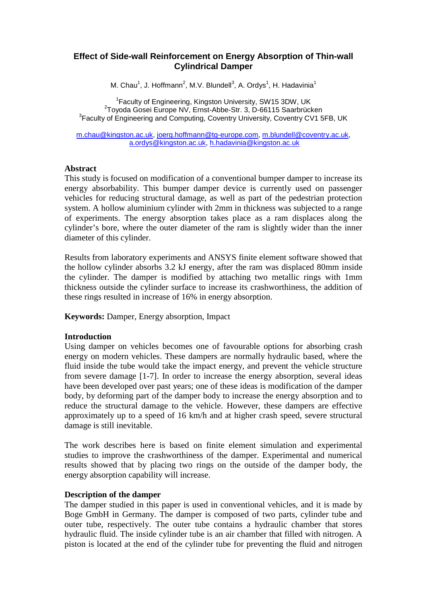# **Effect of Side-wall Reinforcement on Energy Absorption of Thin-wall Cylindrical Damper**

M. Chau<sup>1</sup>, J. Hoffmann<sup>2</sup>, M.V. Blundell<sup>3</sup>, A. Ordys<sup>1</sup>, H. Hadavinia<sup>1</sup>

<sup>1</sup> Faculty of Engineering, Kingston University, SW15 3DW, UK<br><sup>2</sup> Tavade Cassi Europe NV, Ernst Abbe Str. 2, D.66115 Sessbrüg Toyoda Gosei Europe NV, Ernst-Abbe-Str. 3, D-66115 Saarbrücken <sup>3</sup> Faculty of Engineering and Computing, Coventry University, Coventry CV1 5FB, UK

[m.chau@kingston.ac.uk,](mailto:m.chau@kingston.ac.uk) [joerg.hoffmann@tg-europe.com,](mailto:joerg.hoffmann@tg-europe.com) [m.blundell@coventry.ac.uk,](mailto:m.blundell@coventry.ac.uk) [a.ordys@kingston.ac.uk,](mailto:a.ordys@kingston.ac.uk) [h.hadavinia@kingston.ac.uk](mailto:h.hadavinia@kingston.ac.uk)

#### **Abstract**

This study is focused on modification of a conventional bumper damper to increase its energy absorbability. This bumper damper device is currently used on passenger vehicles for reducing structural damage, as well as part of the pedestrian protection system. A hollow aluminium cylinder with 2mm in thickness was subjected to a range of experiments. The energy absorption takes place as a ram displaces along the cylinder's bore, where the outer diameter of the ram is slightly wider than the inner diameter of this cylinder.

Results from laboratory experiments and ANSYS finite element software showed that the hollow cylinder absorbs 3.2 kJ energy, after the ram was displaced 80mm inside the cylinder. The damper is modified by attaching two metallic rings with 1mm thickness outside the cylinder surface to increase its crashworthiness, the addition of these rings resulted in increase of 16% in energy absorption.

**Keywords:** Damper, Energy absorption, Impact

## **Introduction**

Using damper on vehicles becomes one of favourable options for absorbing crash energy on modern vehicles. These dampers are normally hydraulic based, where the fluid inside the tube would take the impact energy, and prevent the vehicle structure from severe damage [1-7]. In order to increase the energy absorption, several ideas have been developed over past years; one of these ideas is modification of the damper body, by deforming part of the damper body to increase the energy absorption and to reduce the structural damage to the vehicle. However, these dampers are effective approximately up to a speed of 16 km/h and at higher crash speed, severe structural damage is still inevitable.

The work describes here is based on finite element simulation and experimental studies to improve the crashworthiness of the damper. Experimental and numerical results showed that by placing two rings on the outside of the damper body, the energy absorption capability will increase.

## **Description of the damper**

The damper studied in this paper is used in conventional vehicles, and it is made by Boge GmbH in Germany. The damper is composed of two parts, cylinder tube and outer tube, respectively. The outer tube contains a hydraulic chamber that stores hydraulic fluid. The inside cylinder tube is an air chamber that filled with nitrogen. A piston is located at the end of the cylinder tube for preventing the fluid and nitrogen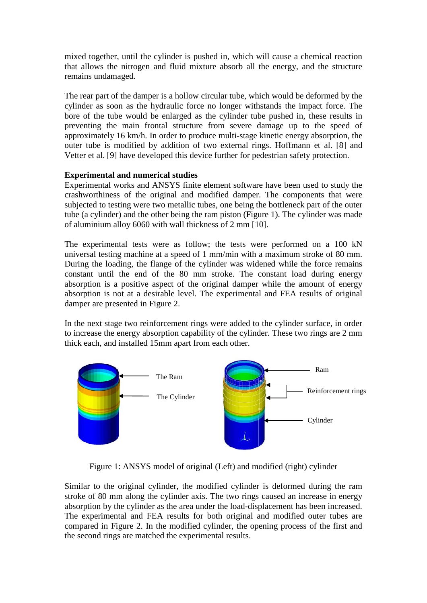mixed together, until the cylinder is pushed in, which will cause a chemical reaction that allows the nitrogen and fluid mixture absorb all the energy, and the structure remains undamaged.

The rear part of the damper is a hollow circular tube, which would be deformed by the cylinder as soon as the hydraulic force no longer withstands the impact force. The bore of the tube would be enlarged as the cylinder tube pushed in, these results in preventing the main frontal structure from severe damage up to the speed of approximately 16 km/h. In order to produce multi-stage kinetic energy absorption, the outer tube is modified by addition of two external rings. Hoffmann et al. [8] and Vetter et al. [9] have developed this device further for pedestrian safety protection.

# **Experimental and numerical studies**

Experimental works and ANSYS finite element software have been used to study the crashworthiness of the original and modified damper. The components that were subjected to testing were two metallic tubes, one being the bottleneck part of the outer tube (a cylinder) and the other being the ram piston (Figure 1). The cylinder was made of aluminium alloy 6060 with wall thickness of 2 mm [10].

The experimental tests were as follow; the tests were performed on a 100 kN universal testing machine at a speed of 1 mm/min with a maximum stroke of 80 mm. During the loading, the flange of the cylinder was widened while the force remains constant until the end of the 80 mm stroke. The constant load during energy absorption is a positive aspect of the original damper while the amount of energy absorption is not at a desirable level. The experimental and FEA results of original damper are presented in Figure 2.

In the next stage two reinforcement rings were added to the cylinder surface, in order to increase the energy absorption capability of the cylinder. These two rings are 2 mm thick each, and installed 15mm apart from each other.



Figure 1: ANSYS model of original (Left) and modified (right) cylinder

Similar to the original cylinder, the modified cylinder is deformed during the ram stroke of 80 mm along the cylinder axis. The two rings caused an increase in energy absorption by the cylinder as the area under the load-displacement has been increased. The experimental and FEA results for both original and modified outer tubes are compared in Figure 2. In the modified cylinder, the opening process of the first and the second rings are matched the experimental results.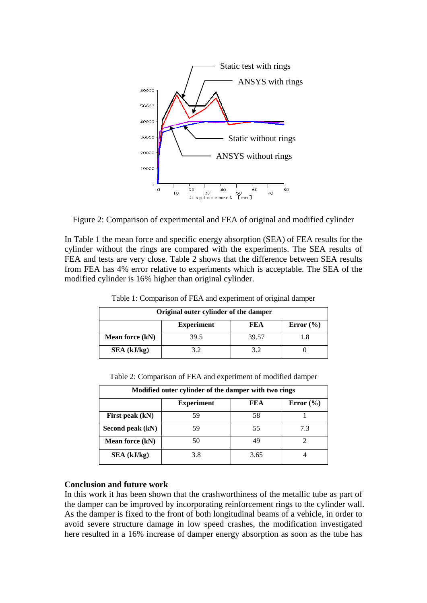

Figure 2: Comparison of experimental and FEA of original and modified cylinder

In Table 1 the mean force and specific energy absorption (SEA) of FEA results for the cylinder without the rings are compared with the experiments. The SEA results of FEA and tests are very close. Table 2 shows that the difference between SEA results from FEA has 4% error relative to experiments which is acceptable. The SEA of the modified cylinder is 16% higher than original cylinder.

| Original outer cylinder of the damper |                   |       |               |  |
|---------------------------------------|-------------------|-------|---------------|--|
|                                       | <b>Experiment</b> | FEA   | Error $(\% )$ |  |
| Mean force (kN)                       | 39.5              | 39.57 |               |  |
| SEA (kJ/kg)                           | 3.2               | 39    |               |  |

Table 1: Comparison of FEA and experiment of original damper

| Modified outer cylinder of the damper with two rings |                   |     |               |
|------------------------------------------------------|-------------------|-----|---------------|
|                                                      | <b>Experiment</b> | FEA | Error $(\% )$ |
| First peak (kN)                                      | 59                |     |               |
| Second peak (kN)                                     | 59                | 55  |               |
| Mean force (kN)                                      |                   |     |               |

**SEA (kJ/kg)** 3.8 3.65 4

Table 2: Comparison of FEA and experiment of modified damper

#### **Conclusion and future work**

In this work it has been shown that the crashworthiness of the metallic tube as part of the damper can be improved by incorporating reinforcement rings to the cylinder wall. As the damper is fixed to the front of both longitudinal beams of a vehicle, in order to avoid severe structure damage in low speed crashes, the modification investigated here resulted in a 16% increase of damper energy absorption as soon as the tube has